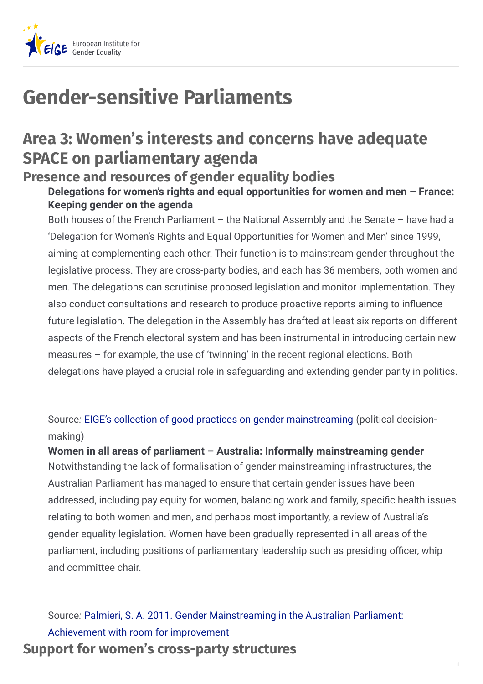

# **Gender-sensitive Parliaments**

# **Area 3: Women's interests and concerns have adequate SPACE on parliamentary agenda**

# **Presence and resources of gender equality bodies**

## **Delegations for women's rights and equal opportunities for women and men – France: Keeping gender on the agenda**

Both houses of the French Parliament – the National Assembly and the Senate – have had a 'Delegation for Women's Rights and Equal Opportunities for Women and Men' since 1999, aiming at complementing each other. Their function is to mainstream gender throughout the legislative process. They are cross-party bodies, and each has 36 members, both women and men. The delegations can scrutinise proposed legislation and monitor implementation. They also conduct consultations and research to produce proactive reports aiming to influence future legislation. The delegation in the Assembly has drafted at least six reports on different aspects of the French electoral system and has been instrumental in introducing certain new measures – for example, the use of 'twinning' in the recent regional elections. Both delegations have played a crucial role in safeguarding and extending gender parity in politics.

Source*:* EIGE's collection of good practices on gender [mainstreaming](http:///gender-mainstreaming/good-practices/france/parliamentary-delegations-keep-gender-agenda) (political decisionmaking)

# **Women in all areas of parliament – Australia: Informally mainstreaming gender**

Notwithstanding the lack of formalisation of gender mainstreaming infrastructures, the Australian Parliament has managed to ensure that certain gender issues have been addressed, including pay equity for women, balancing work and family, specific health issues relating to both women and men, and perhaps most importantly, a review of Australia's gender equality legislation. Women have been gradually represented in all areas of the parliament, including positions of parliamentary leadership such as presiding officer, whip and committee chair.

Source*:* Palmieri, S. A. 2011. Gender [Mainstreaming](http://http//www.parliamentarystudies.anu.edu.au/pdf/publications/2011/Gender_Mainstreaming_in_the_Australian_Parliament.pdf) in the Australian Parliament: Achievement with room for improvement **Support for women's cross-party structures**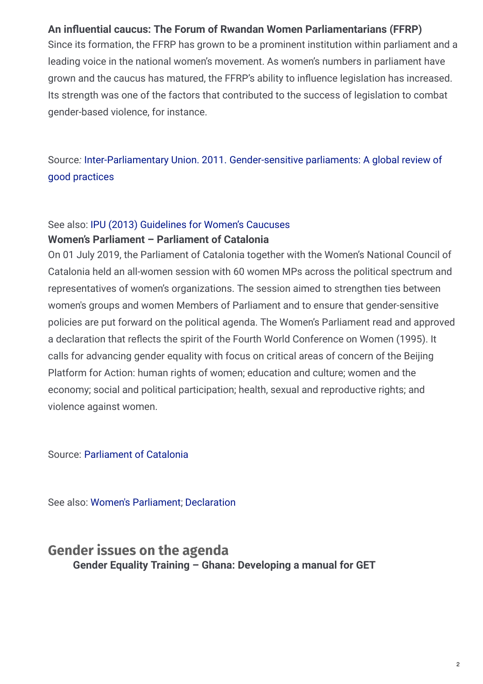#### **An** influential caucus: The Forum of Rwandan Women Parliamentarians (FFRP)

Since its formation, the FFRP has grown to be a prominent institution within parliament and a leading voice in the national women's movement. As women's numbers in parliament have grown and the caucus has matured, the FFRP's ability to influence legislation has increased. Its strength was one of the factors that contributed to the success of legislation to combat gender-based violence, for instance.

Source*:* [Inter-Parliamentary](https://www.ipu.org/resources/publications/reports/2016-07/gender-sensitive-parliaments) Union. 2011. Gender-sensitive parliaments: A global review of good practices

#### See also: IPU (2013) [Guidelines](http://www.ipu.org/pdf/publications/caucus-e.pdf) for Women's Caucuses **Women's Parliament – Parliament of Catalonia**

On 01 July 2019, the Parliament of Catalonia together with the Women's National Council of Catalonia held an all-women session with 60 women MPs across the political spectrum and representatives of women's organizations. The session aimed to strengthen ties between women's groups and women Members of Parliament and to ensure that gender-sensitive policies are put forward on the political agenda. The Women's Parliament read and approved a declaration that reflects the spirit of the Fourth World Conference on Women (1995). It calls for advancing gender equality with focus on critical areas of concern of the Beijing Platform for Action: human rights of women; education and culture; women and the economy; social and political participation; health, sexual and reproductive rights; and violence against women.

Source: [Parliament](https://www.parlament.cat/pcat/parlament/parlament-genere/) of Catalonia

See also: Women's [Parliament](https://www.parlament.cat/document/documents/6847599.pdf); [Declaration](https://www.parlament.cat/document/actualitat/6451124.pdf)

## **Gender issues on the agenda Gender Equality Training – Ghana: Developing a manual for GET**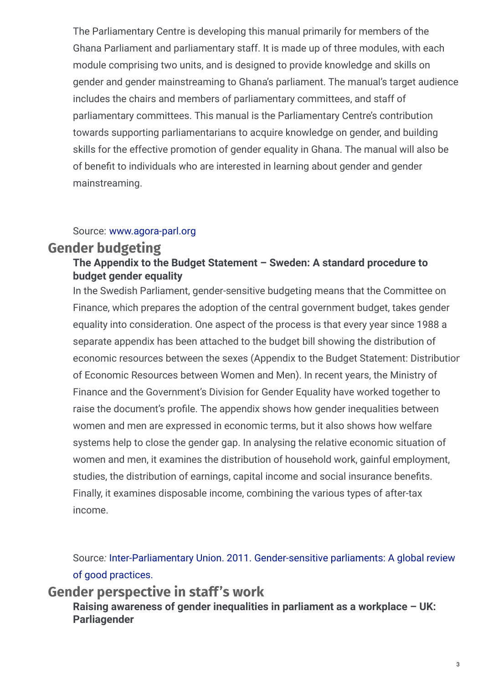The Parliamentary Centre is developing this manual primarily for members of the Ghana Parliament and parliamentary staff. It is made up of three modules, with each module comprising two units, and is designed to provide knowledge and skills on gender and gender mainstreaming to Ghana's parliament. The manual's target audience includes the chairs and members of parliamentary committees, and staff of parliamentary committees. This manual is the Parliamentary Centre's contribution towards supporting parliamentarians to acquire knowledge on gender, and building skills for the effective promotion of gender equality in Ghana. The manual will also be of benefit to individuals who are interested in learning about gender and gender mainstreaming.

#### Source: [www.agora-parl.org](http://www.agora-parl.org/resources/library/gender-training-manual-parliament-ghana)

## **Gender budgeting**

### **The Appendix to the Budget Statement – Sweden: A standard procedure to budget gender equality**

In the Swedish Parliament, gender-sensitive budgeting means that the Committee on Finance, which prepares the adoption of the central government budget, takes gender equality into consideration. One aspect of the process is that every year since 1988 a separate appendix has been attached to the budget bill showing the distribution of economic resources between the sexes (Appendix to the Budget Statement: Distribution of Economic Resources between Women and Men). In recent years, the Ministry of Finance and the Government's Division for Gender Equality have worked together to raise the document's profile. The appendix shows how gender inequalities between women and men are expressed in economic terms, but it also shows how welfare systems help to close the gender gap. In analysing the relative economic situation of women and men, it examines the distribution of household work, gainful employment, studies, the distribution of earnings, capital income and social insurance benefits. Finally, it examines disposable income, combining the various types of after-tax income.

Source*:* [Inter-Parliamentary](https://www.ipu.org/resources/publications/reports/2016-07/gender-sensitive-parliaments) Union. 2011. Gender-sensitive parliaments: A global review of good practices.

**Gender perspective in staff's work**

**Raising awareness of gender inequalities in parliament as a workplace – UK: Parliagender**